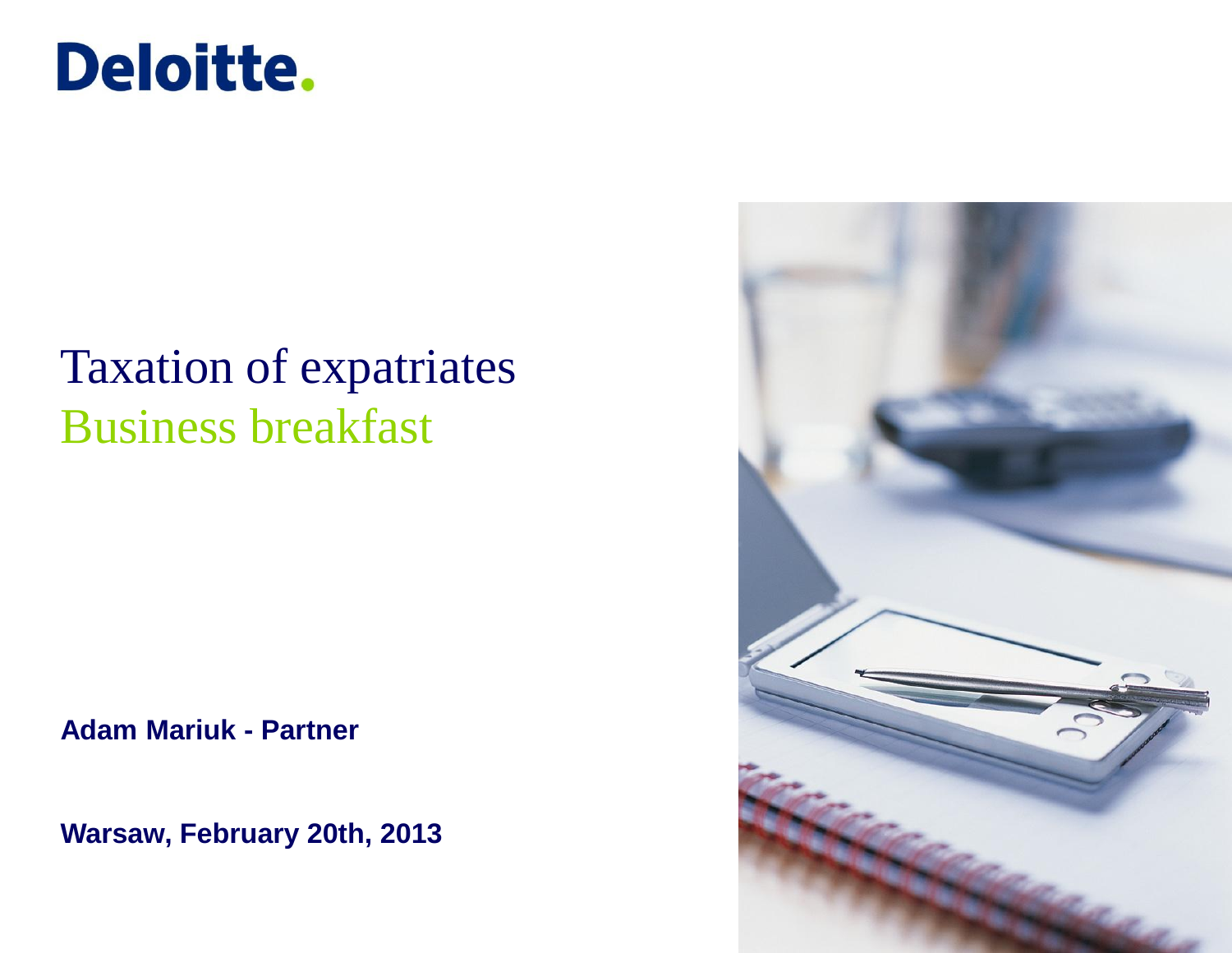# Deloitte.

## Taxation of expatriates Business breakfast

**Adam Mariuk - Partner**

**Warsaw, February 20th, 2013**

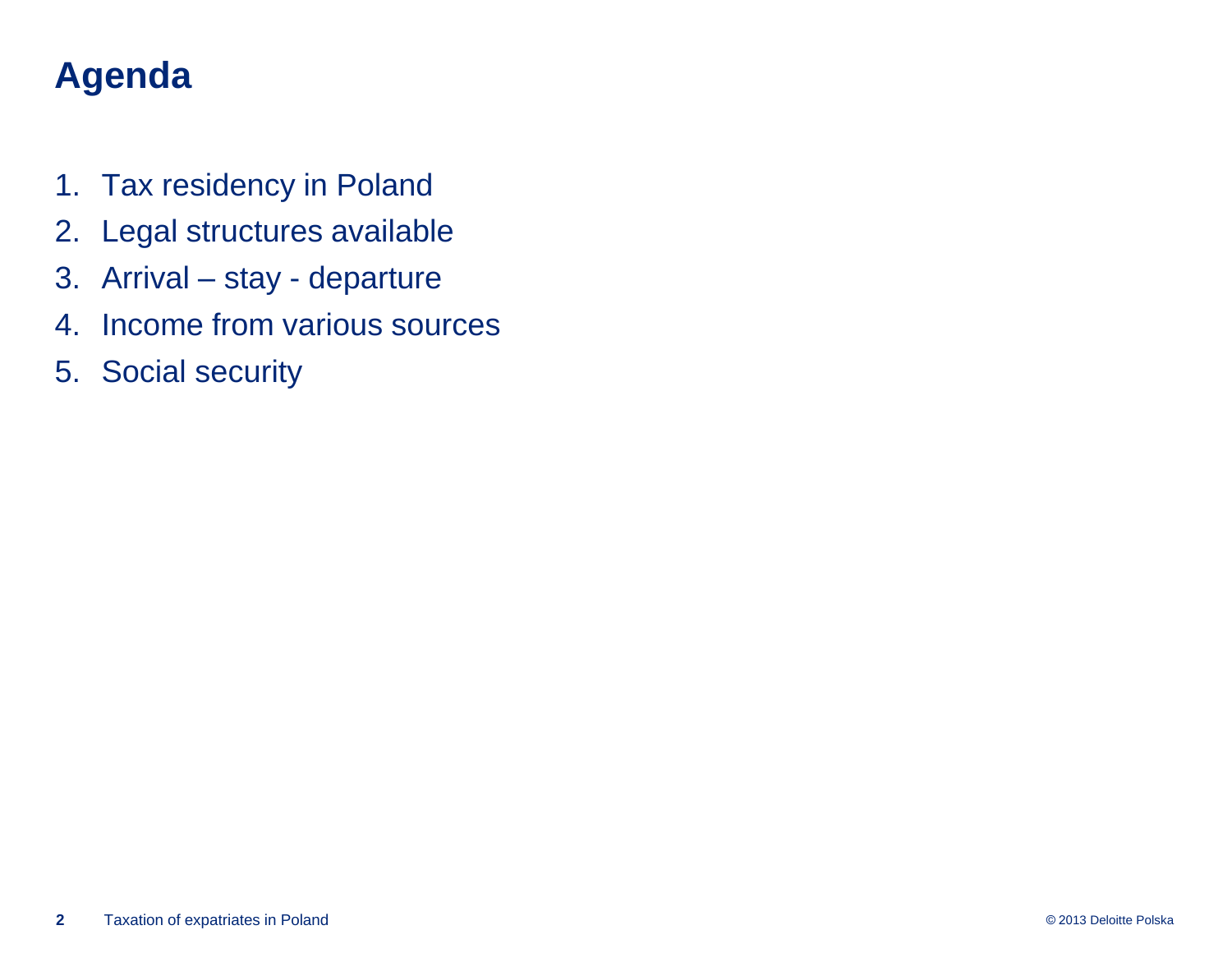## **Agenda**

- 1. Tax residency in Poland
- 2. Legal structures available
- 3. Arrival stay departure
- 4. Income from various sources
- 5. Social security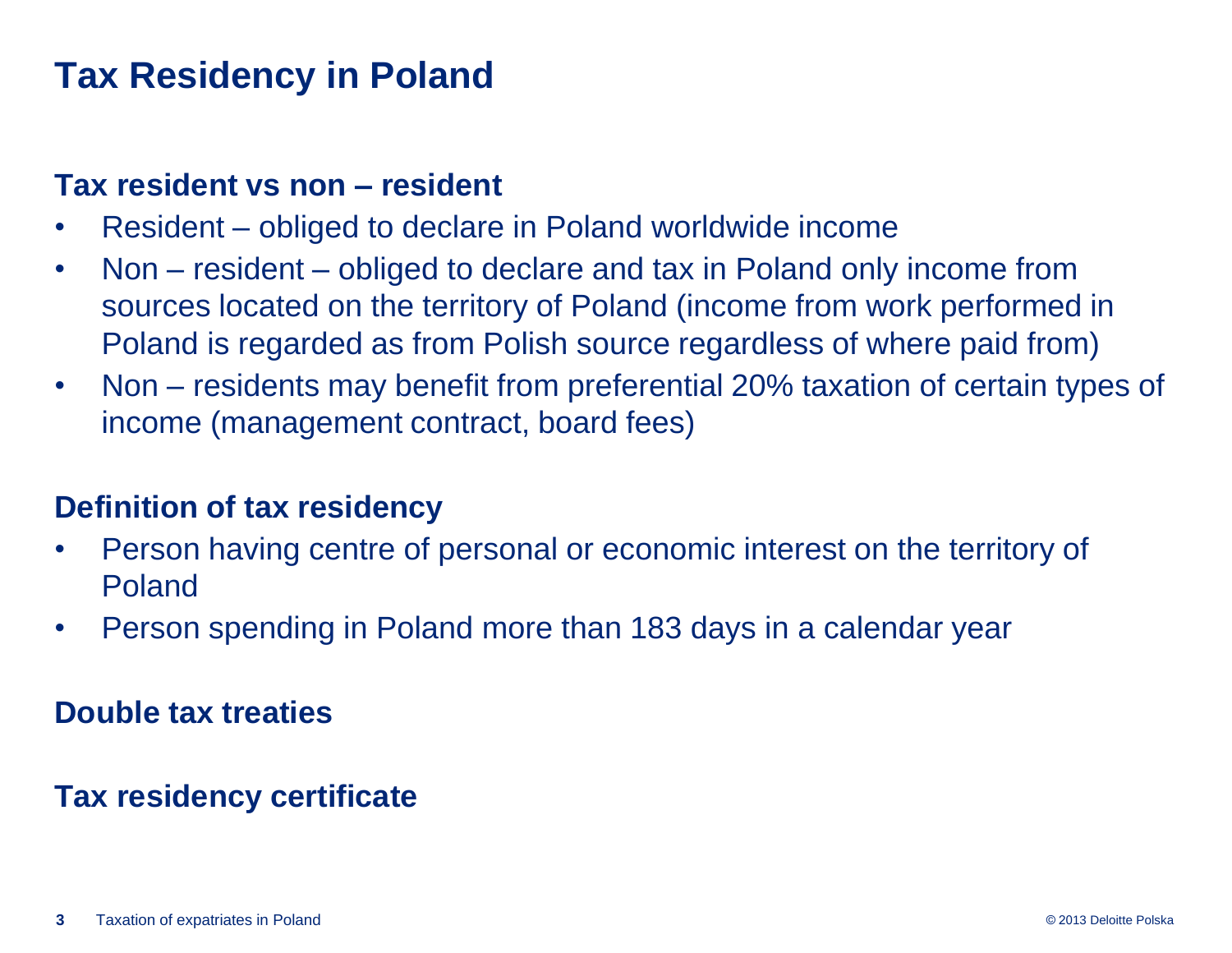## **Tax Residency in Poland**

#### **Tax resident vs non – resident**

- Resident obliged to declare in Poland worldwide income
- Non resident obliged to declare and tax in Poland only income from sources located on the territory of Poland (income from work performed in Poland is regarded as from Polish source regardless of where paid from)
- Non residents may benefit from preferential 20% taxation of certain types of income (management contract, board fees)

## **Definition of tax residency**

- Person having centre of personal or economic interest on the territory of Poland
- Person spending in Poland more than 183 days in a calendar year

#### **Double tax treaties**

## **Tax residency certificate**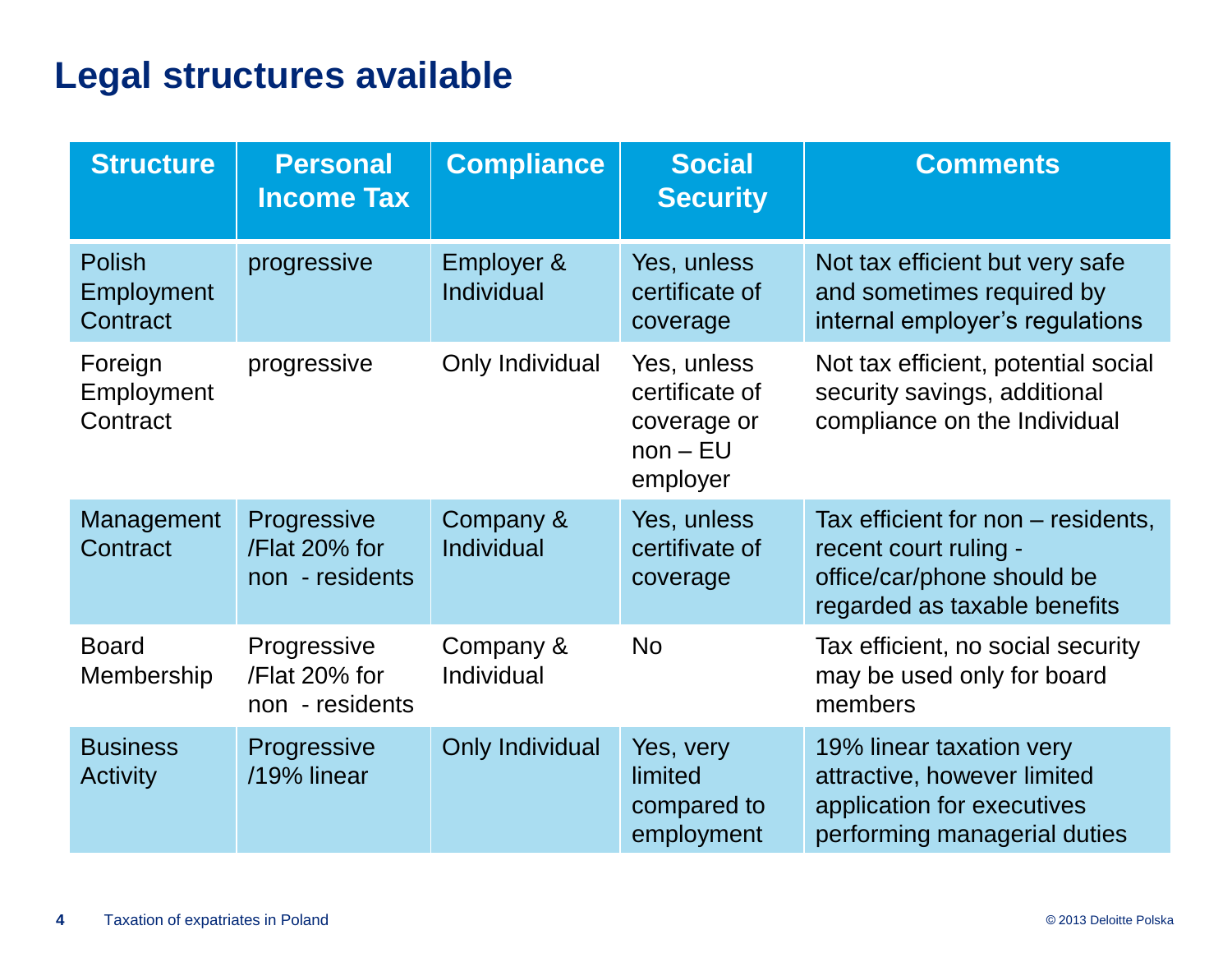## **Legal structures available**

| <b>Structure</b>                        | <b>Personal</b><br><b>Income Tax</b>            | <b>Compliance</b>        | <b>Social</b><br><b>Security</b>                                       | <b>Comments</b>                                                                                                           |
|-----------------------------------------|-------------------------------------------------|--------------------------|------------------------------------------------------------------------|---------------------------------------------------------------------------------------------------------------------------|
| <b>Polish</b><br>Employment<br>Contract | progressive                                     | Employer &<br>Individual | Yes, unless<br>certificate of<br>coverage                              | Not tax efficient but very safe<br>and sometimes required by<br>internal employer's regulations                           |
| Foreign<br>Employment<br>Contract       | progressive                                     | Only Individual          | Yes, unless<br>certificate of<br>coverage or<br>$non - EU$<br>employer | Not tax efficient, potential social<br>security savings, additional<br>compliance on the Individual                       |
| Management<br>Contract                  | Progressive<br>/Flat 20% for<br>non - residents | Company &<br>Individual  | Yes, unless<br>certifivate of<br>coverage                              | Tax efficient for non – residents,<br>recent court ruling -<br>office/car/phone should be<br>regarded as taxable benefits |
| <b>Board</b><br>Membership              | Progressive<br>/Flat 20% for<br>non - residents | Company &<br>Individual  | <b>No</b>                                                              | Tax efficient, no social security<br>may be used only for board<br>members                                                |
| <b>Business</b><br><b>Activity</b>      | Progressive<br>/19% linear                      | <b>Only Individual</b>   | Yes, very<br>limited<br>compared to<br>employment                      | 19% linear taxation very<br>attractive, however limited<br>application for executives<br>performing managerial duties     |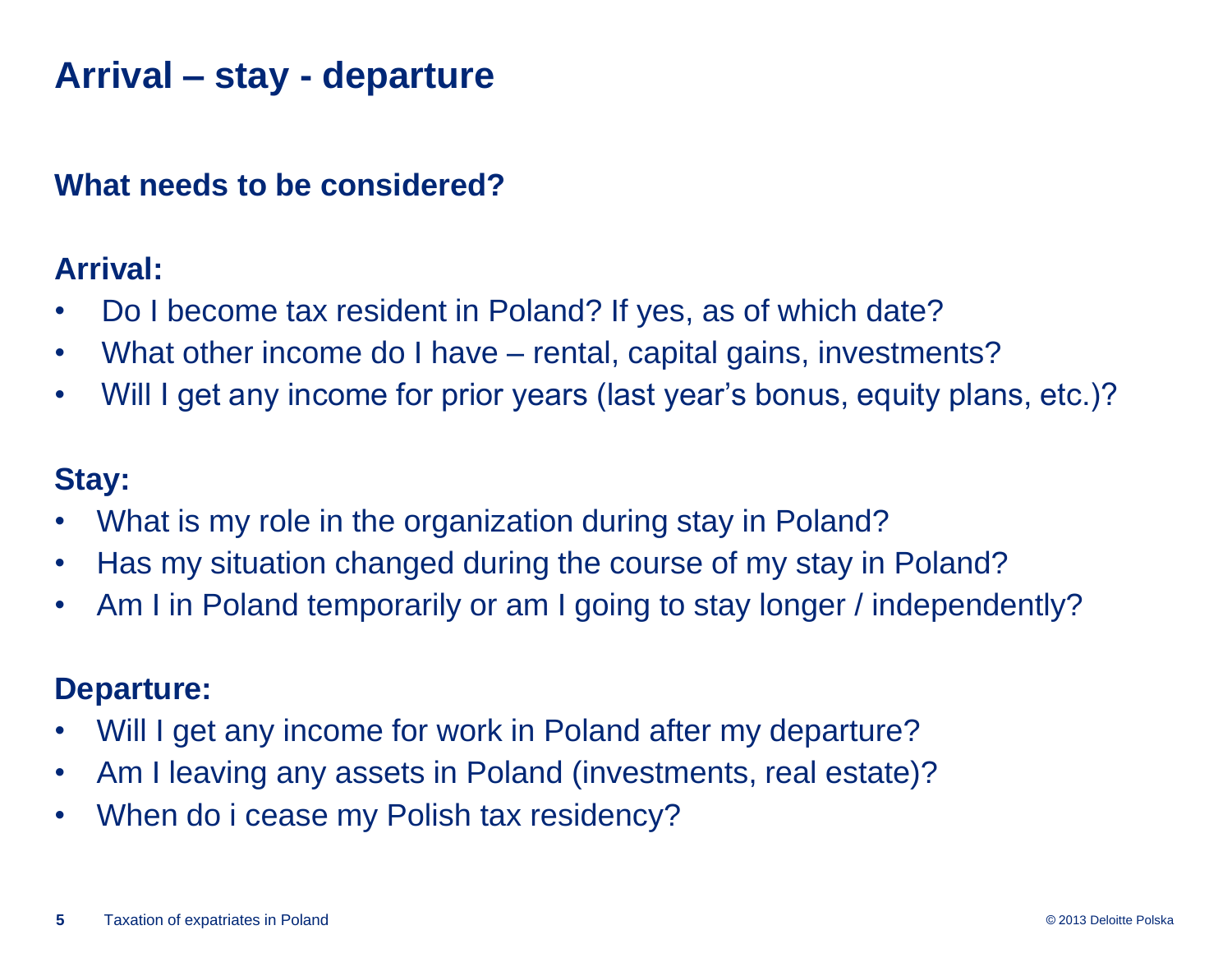## **Arrival – stay - departure**

#### **What needs to be considered?**

## **Arrival:**

- Do I become tax resident in Poland? If yes, as of which date?
- What other income do I have rental, capital gains, investments?
- Will I get any income for prior years (last year's bonus, equity plans, etc.)?

## **Stay:**

- What is my role in the organization during stay in Poland?
- Has my situation changed during the course of my stay in Poland?
- Am I in Poland temporarily or am I going to stay longer / independently?

## **Departure:**

- Will I get any income for work in Poland after my departure?
- Am I leaving any assets in Poland (investments, real estate)?
- When do i cease my Polish tax residency?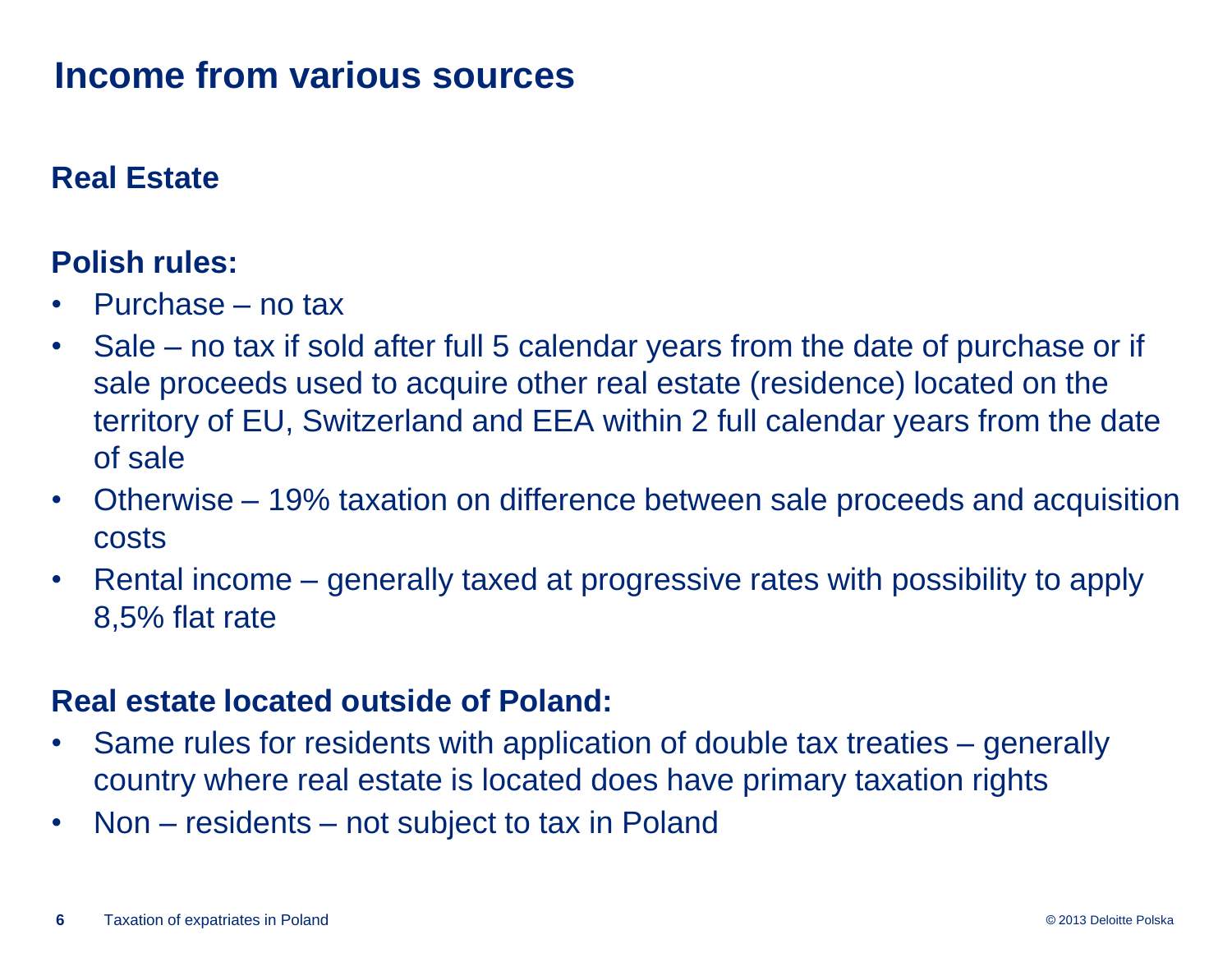## **Real Estate**

#### **Polish rules:**

- Purchase no tax
- Sale no tax if sold after full 5 calendar years from the date of purchase or if sale proceeds used to acquire other real estate (residence) located on the territory of EU, Switzerland and EEA within 2 full calendar years from the date of sale
- Otherwise 19% taxation on difference between sale proceeds and acquisition costs
- Rental income generally taxed at progressive rates with possibility to apply 8,5% flat rate

#### **Real estate located outside of Poland:**

- Same rules for residents with application of double tax treaties generally country where real estate is located does have primary taxation rights
- Non residents not subject to tax in Poland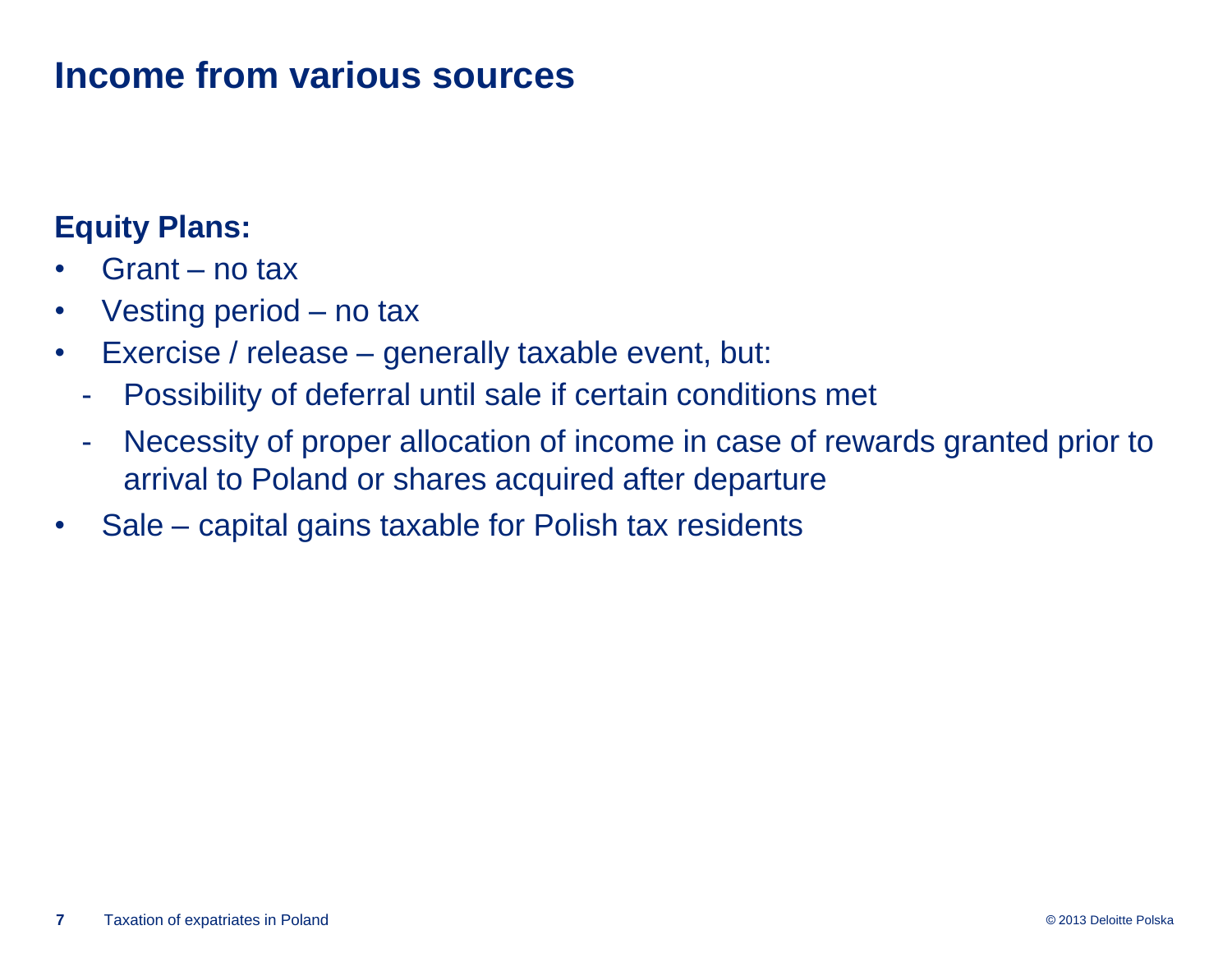## **Equity Plans:**

- Grant no tax
- Vesting period no tax
- Exercise / release generally taxable event, but:
	- Possibility of deferral until sale if certain conditions met
	- Necessity of proper allocation of income in case of rewards granted prior to arrival to Poland or shares acquired after departure
- Sale capital gains taxable for Polish tax residents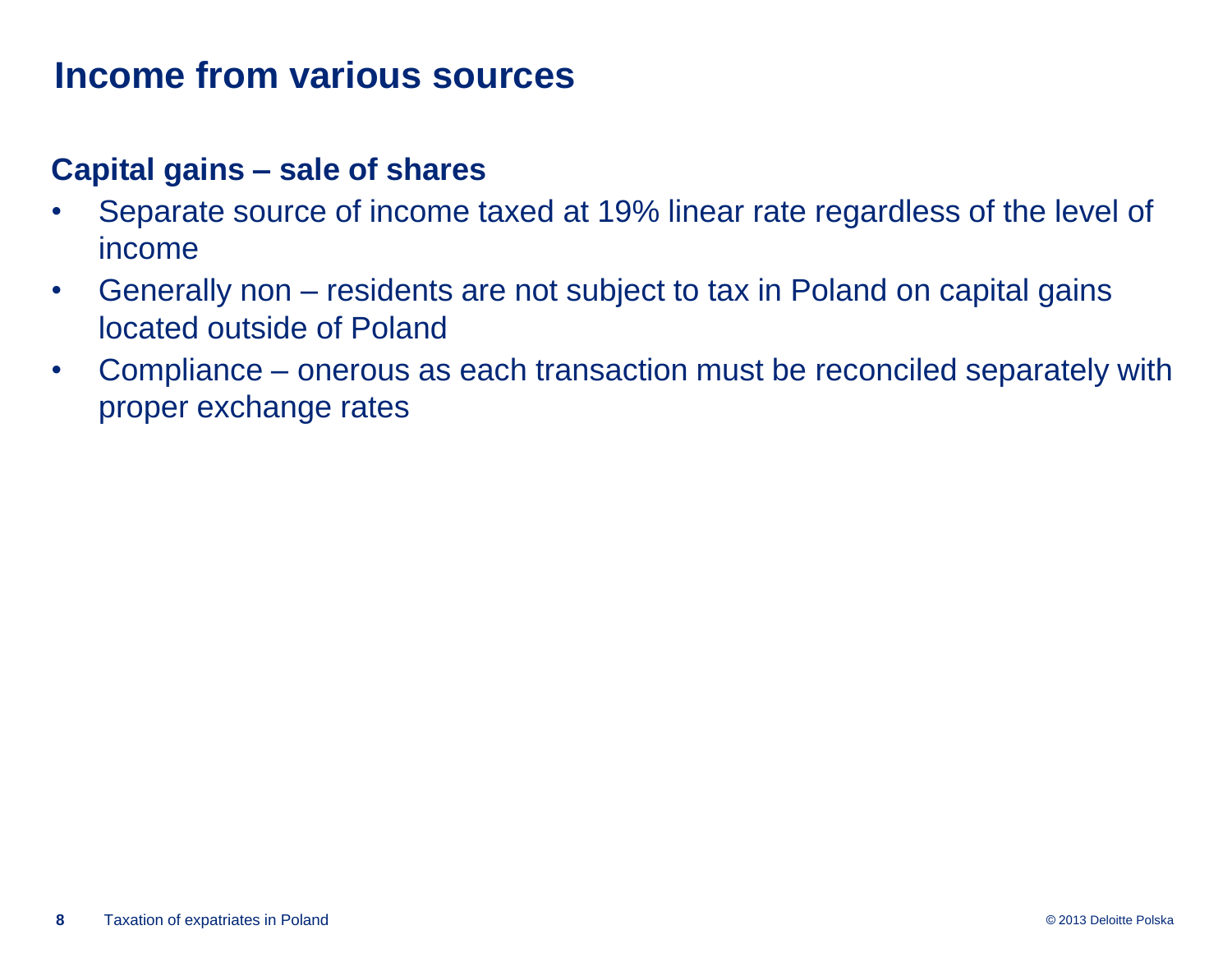#### **Capital gains – sale of shares**

- Separate source of income taxed at 19% linear rate regardless of the level of income
- Generally non residents are not subject to tax in Poland on capital gains located outside of Poland
- Compliance onerous as each transaction must be reconciled separately with proper exchange rates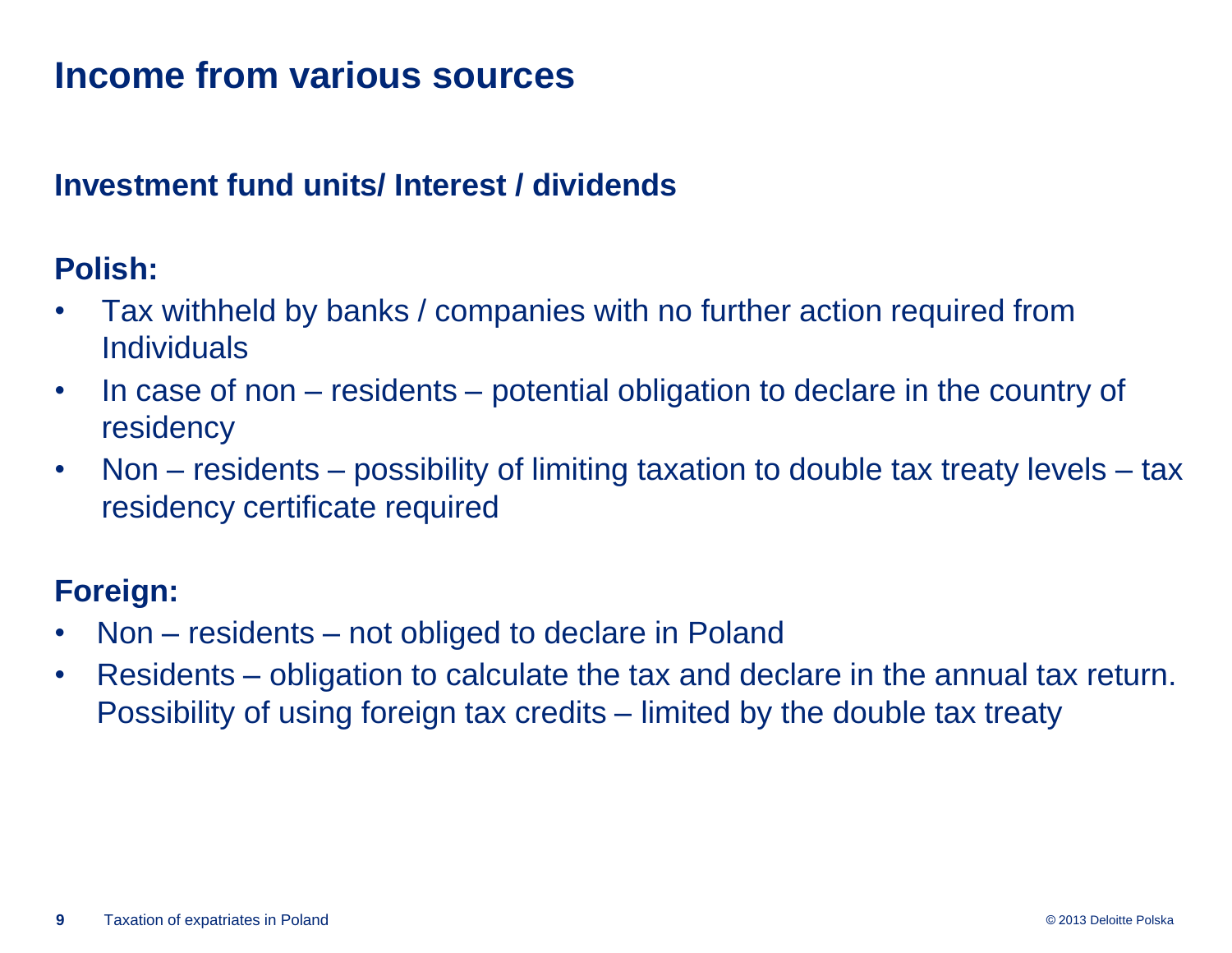## **Investment fund units/ Interest / dividends**

## **Polish:**

- Tax withheld by banks / companies with no further action required from Individuals
- In case of non residents potential obligation to declare in the country of residency
- Non residents possibility of limiting taxation to double tax treaty levels tax residency certificate required

#### **Foreign:**

- Non residents not obliged to declare in Poland
- Residents obligation to calculate the tax and declare in the annual tax return. Possibility of using foreign tax credits – limited by the double tax treaty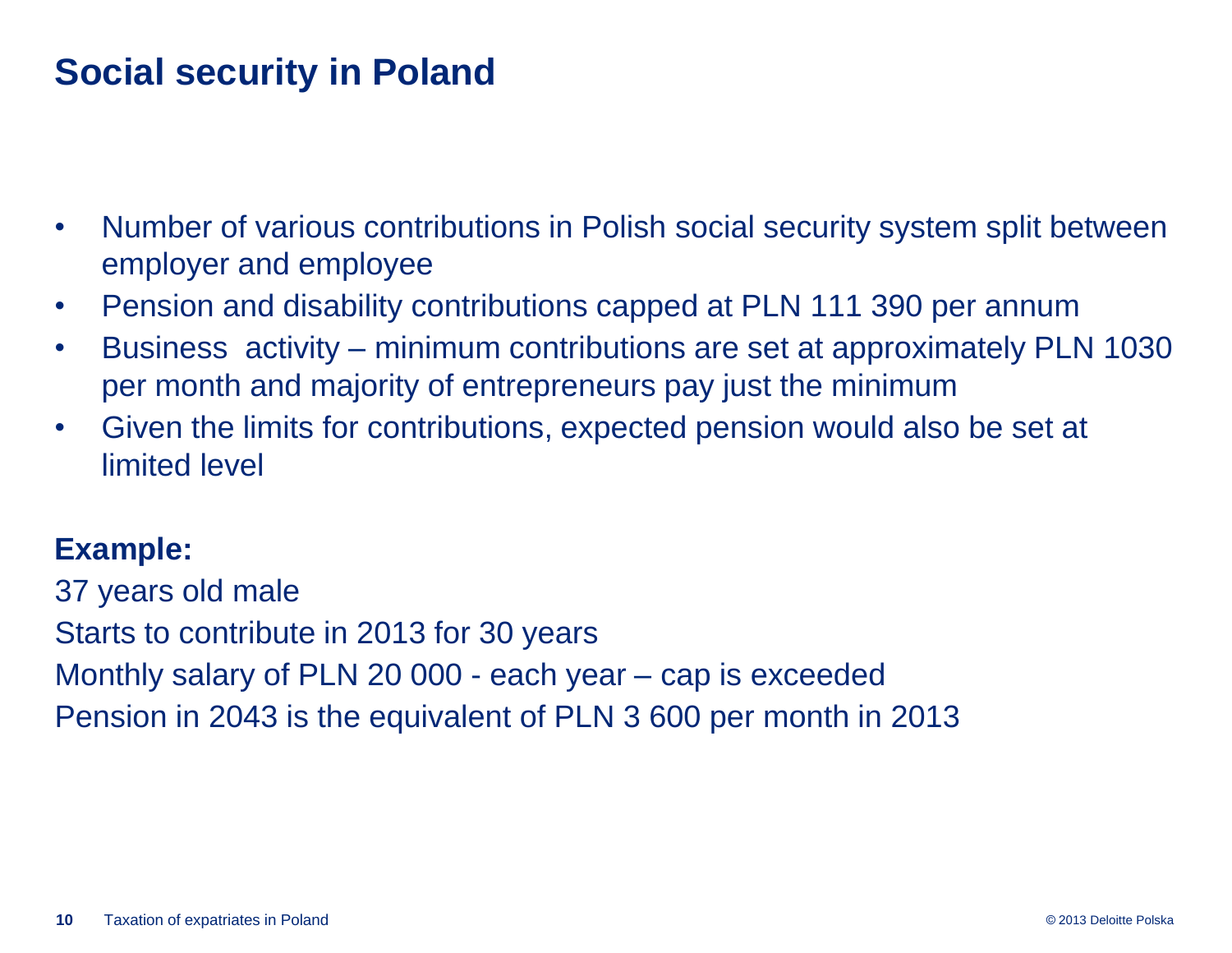## **Social security in Poland**

- Number of various contributions in Polish social security system split between employer and employee
- Pension and disability contributions capped at PLN 111 390 per annum
- Business activity minimum contributions are set at approximately PLN 1030 per month and majority of entrepreneurs pay just the minimum
- Given the limits for contributions, expected pension would also be set at limited level

#### **Example:**

37 years old male Starts to contribute in 2013 for 30 years Monthly salary of PLN 20 000 - each year – cap is exceeded Pension in 2043 is the equivalent of PLN 3 600 per month in 2013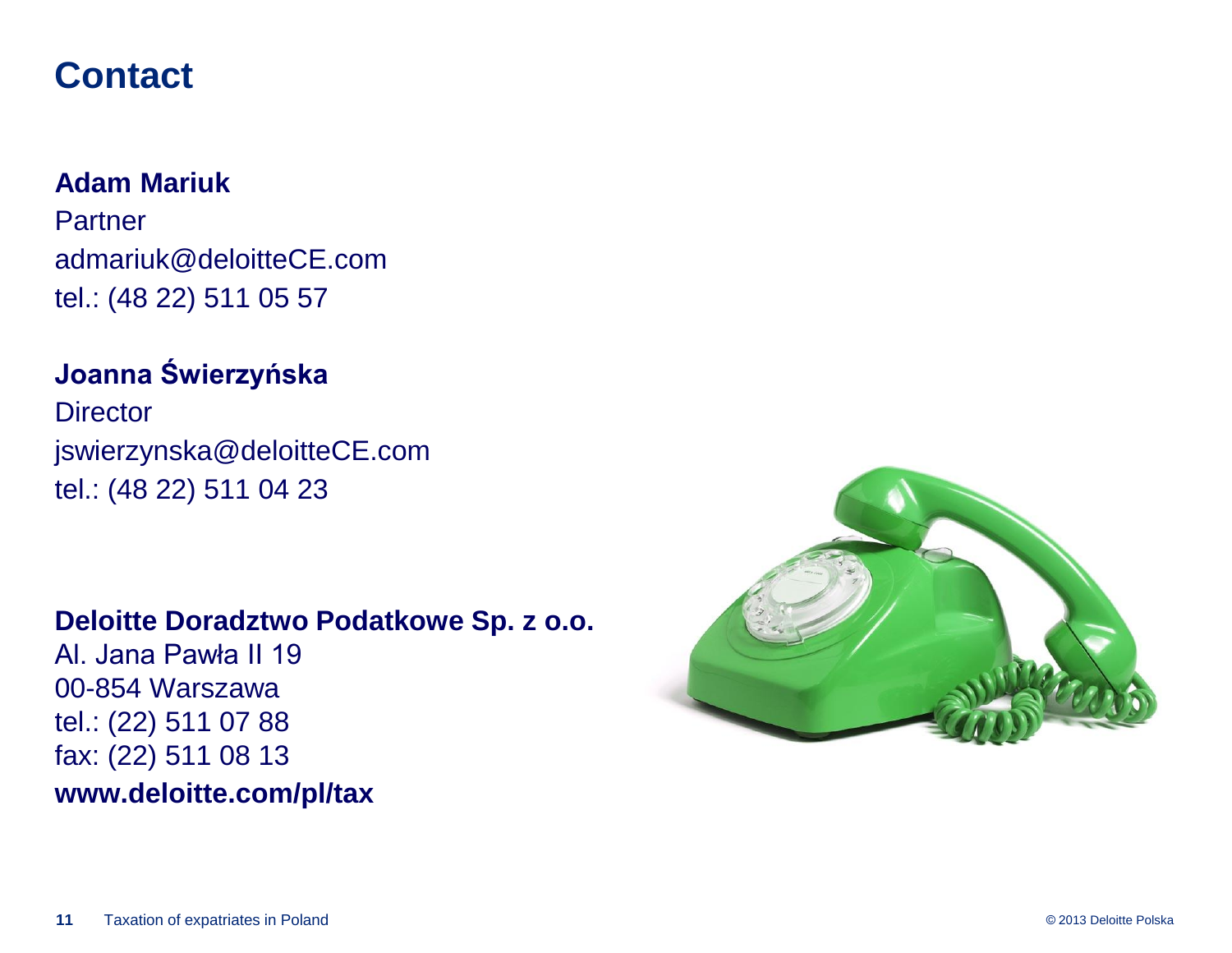## **Contact**

#### **Adam Mariuk**

Partner admariuk@deloitteCE.com tel.: (48 22) 511 05 57

## **Joanna Świerzyńska**

**Director** jswierzynska@deloitteCE.com tel.: (48 22) 511 04 23

#### **Deloitte Doradztwo Podatkowe Sp. z o.o.**

Al. Jana Pawła II 19 00-854 Warszawa tel.: (22) 511 07 88 fax: (22) 511 08 13 **www.deloitte.com/pl/tax**